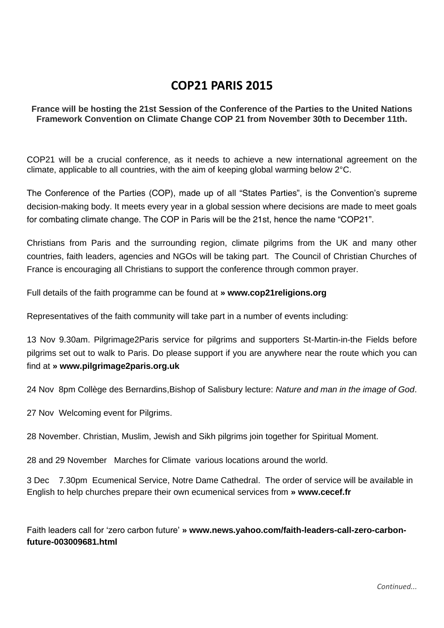# **COP21 PARIS 2015**

### **France will be hosting the 21st Session of the Conference of the Parties to the United Nations Framework Convention on Climate Change COP 21 from November 30th to December 11th.**

COP21 will be a crucial conference, as it needs to achieve a new international agreement on the climate, applicable to all countries, with the aim of keeping global warming below 2°C.

The Conference of the Parties (COP), made up of all "States Parties", is the Convention's supreme decision-making body. It meets every year in a global session where decisions are made to meet goals for combating climate change. The COP in Paris will be the 21st, hence the name "COP21".

Christians from Paris and the surrounding region, climate pilgrims from the UK and many other countries, faith leaders, agencies and NGOs will be taking part. The Council of Christian Churches of France is encouraging all Christians to support the conference through common prayer.

Full details of the faith programme can be found at **» www.cop21religions.org**

Representatives of the faith community will take part in a number of events including:

13 Nov 9.30am. Pilgrimage2Paris service for pilgrims and supporters St-Martin-in-the Fields before pilgrims set out to walk to Paris. Do please support if you are anywhere near the route which you can find at **» www.pilgrimage2paris.org.uk**

24 Nov 8pm Collège des Bernardins,Bishop of Salisbury lecture: *Nature and man in the image of God*.

27 Nov Welcoming event for Pilgrims.

28 November. Christian, Muslim, Jewish and Sikh pilgrims join together for Spiritual Moment.

28 and 29 November Marches for Climate various locations around the world.

3 Dec 7.30pm Ecumenical Service, Notre Dame Cathedral. The order of service will be available in English to help churches prepare their own ecumenical services from **» www.cecef.fr**

Faith leaders call for 'zero carbon future' **» www.news.yahoo.com/faith-leaders-call-zero-carbonfuture-003009681.html**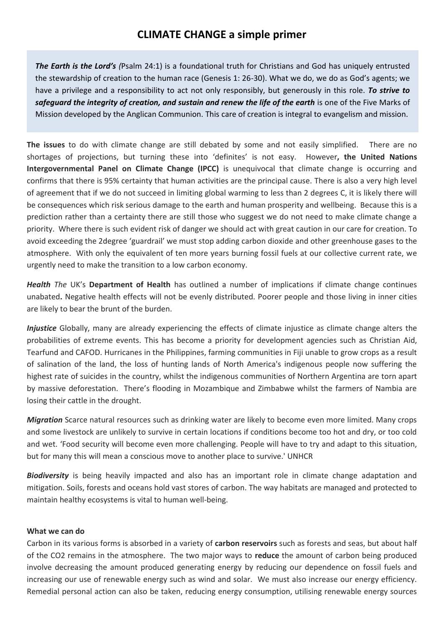*The Earth is the Lord's (*Psalm 24:1) is a foundational truth for Christians and God has uniquely entrusted the stewardship of creation to the human race (Genesis 1: 26-30). What we do, we do as God's agents; we have a privilege and a responsibility to act not only responsibly, but generously in this role. *To strive to safeguard the integrity of creation, and sustain and renew the life of the earth* is one of the Five Marks of Mission developed by the Anglican Communion. This care of creation is integral to evangelism and mission.

**The issues** to do with climate change are still debated by some and not easily simplified. There are no shortages of projections, but turning these into 'definites' is not easy. However**, the United Nations Intergovernmental Panel on Climate Change (IPCC)** is unequivocal that climate change is occurring and confirms that there is 95% certainty that human activities are the principal cause. There is also a very high level of agreement that if we do not succeed in limiting global warming to less than 2 degrees C, it is likely there will be consequences which risk serious damage to the earth and human prosperity and wellbeing. Because this is a prediction rather than a certainty there are still those who suggest we do not need to make climate change a priority. Where there is such evident risk of danger we should act with great caution in our care for creation. To avoid exceeding the 2degree 'guardrail' we must stop adding carbon dioxide and other greenhouse gases to the atmosphere. With only the equivalent of ten more years burning fossil fuels at our collective current rate, we urgently need to make the transition to a low carbon economy.

*Health The* UK's **Department of Health** has outlined a number of implications if climate change continues unabated**.** Negative health effects will not be evenly distributed. Poorer people and those living in inner cities are likely to bear the brunt of the burden.

*Injustice* Globally, many are already experiencing the effects of climate injustice as climate change alters the probabilities of extreme events. This has become a priority for development agencies such as Christian Aid, Tearfund and CAFOD. Hurricanes in the Philippines, farming communities in Fiji unable to grow crops as a result of salination of the land, the loss of hunting lands of North America's indigenous people now suffering the highest rate of suicides in the country, whilst the indigenous communities of Northern Argentina are torn apart by massive deforestation. There's flooding in Mozambique and Zimbabwe whilst the farmers of Nambia are losing their cattle in the drought.

*Migration* Scarce natural resources such as drinking water are likely to become even more limited. Many crops and some livestock are unlikely to survive in certain locations if conditions become too hot and dry, or too cold and wet. 'Food security will become even more challenging. People will have to try and adapt to this situation, but for many this will mean a conscious move to another place to survive.' UNHCR

*Biodiversity* is being heavily impacted and also has an important role in climate change adaptation and mitigation. Soils, forests and oceans hold vast stores of carbon. The way habitats are managed and protected to maintain healthy ecosystems is vital to human well-being.

## **What we can do**

Carbon in its various forms is absorbed in a variety of **carbon reservoirs** such as forests and seas, but about half of the CO2 remains in the atmosphere. The two major ways to **reduce** the amount of carbon being produced involve decreasing the amount produced generating energy by reducing our dependence on fossil fuels and increasing our use of renewable energy such as wind and solar. We must also increase our energy efficiency. Remedial personal action can also be taken, reducing energy consumption, utilising renewable energy sources